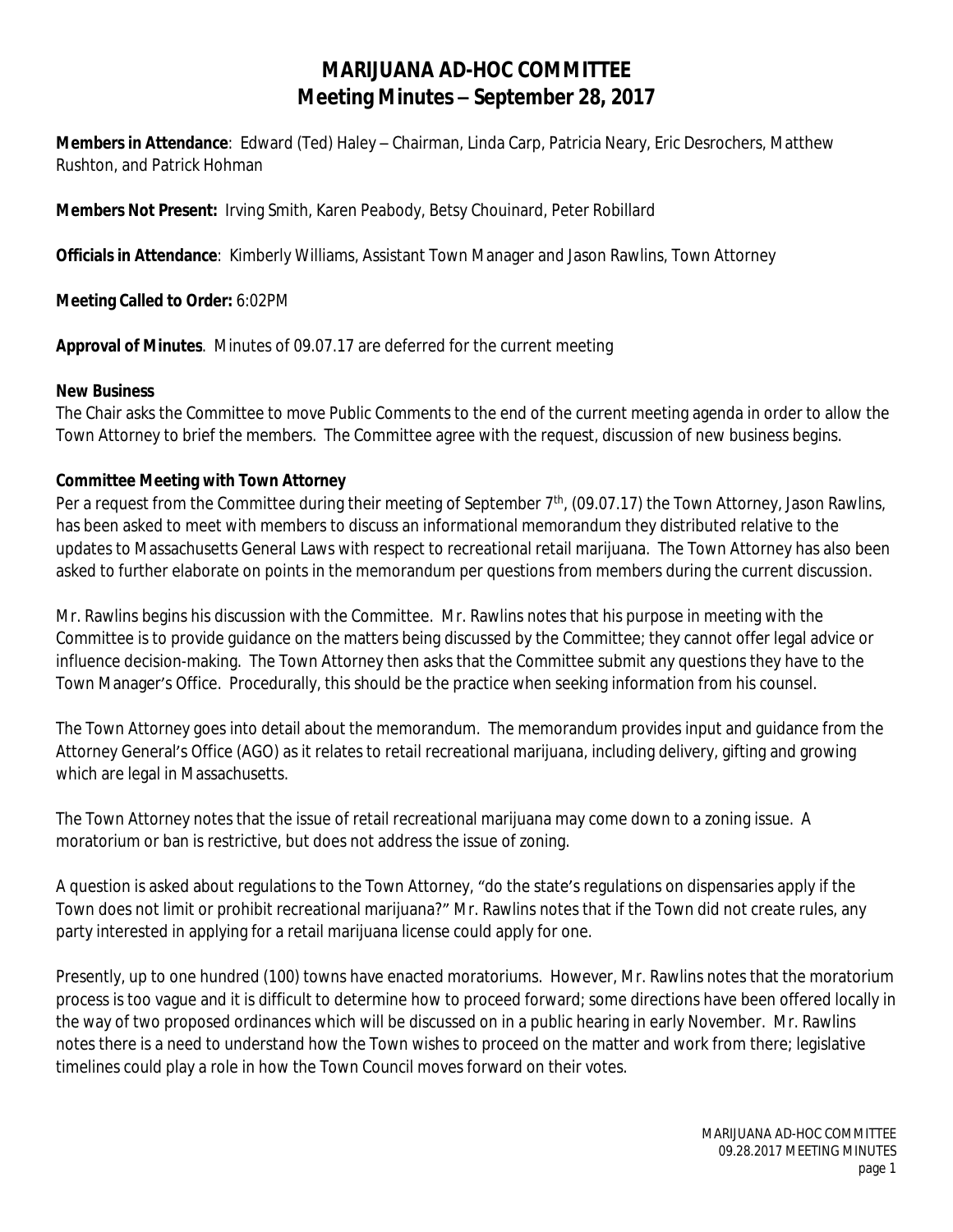# **MARIJUANA AD-HOC COMMITTEE Meeting Minutes – September 28, 2017**

**Members in Attendance**: Edward (Ted) Haley – Chairman, Linda Carp, Patricia Neary, Eric Desrochers, Matthew Rushton, and Patrick Hohman

**Members Not Present:** Irving Smith, Karen Peabody, Betsy Chouinard, Peter Robillard

**Officials in Attendance**: Kimberly Williams, Assistant Town Manager and Jason Rawlins, Town Attorney

**Meeting Called to Order:** 6:02PM

**Approval of Minutes**. Minutes of 09.07.17 are deferred for the current meeting

#### **New Business**

The Chair asks the Committee to move Public Comments to the end of the current meeting agenda in order to allow the Town Attorney to brief the members. The Committee agree with the request, discussion of new business begins.

### **Committee Meeting with Town Attorney**

Per a request from the Committee during their meeting of September 7<sup>th</sup>, (09.07.17) the Town Attorney, Jason Rawlins, has been asked to meet with members to discuss an informational memorandum they distributed relative to the updates to Massachusetts General Laws with respect to recreational retail marijuana. The Town Attorney has also been asked to further elaborate on points in the memorandum per questions from members during the current discussion.

Mr. Rawlins begins his discussion with the Committee. Mr. Rawlins notes that his purpose in meeting with the Committee is to provide guidance on the matters being discussed by the Committee; they cannot offer legal advice or influence decision-making. The Town Attorney then asks that the Committee submit any questions they have to the Town Manager's Office. Procedurally, this should be the practice when seeking information from his counsel.

The Town Attorney goes into detail about the memorandum. The memorandum provides input and guidance from the Attorney General's Office (AGO) as it relates to retail recreational marijuana, including delivery, gifting and growing which are legal in Massachusetts.

The Town Attorney notes that the issue of retail recreational marijuana may come down to a zoning issue. A moratorium or ban is restrictive, but does not address the issue of zoning.

A question is asked about regulations to the Town Attorney, "do the state's regulations on dispensaries apply if the Town does not limit or prohibit recreational marijuana?" Mr. Rawlins notes that if the Town did not create rules, any party interested in applying for a retail marijuana license could apply for one.

Presently, up to one hundred (100) towns have enacted moratoriums. However, Mr. Rawlins notes that the moratorium process is too vague and it is difficult to determine how to proceed forward; some directions have been offered locally in the way of two proposed ordinances which will be discussed on in a public hearing in early November. Mr. Rawlins notes there is a need to understand how the Town wishes to proceed on the matter and work from there; legislative timelines could play a role in how the Town Council moves forward on their votes.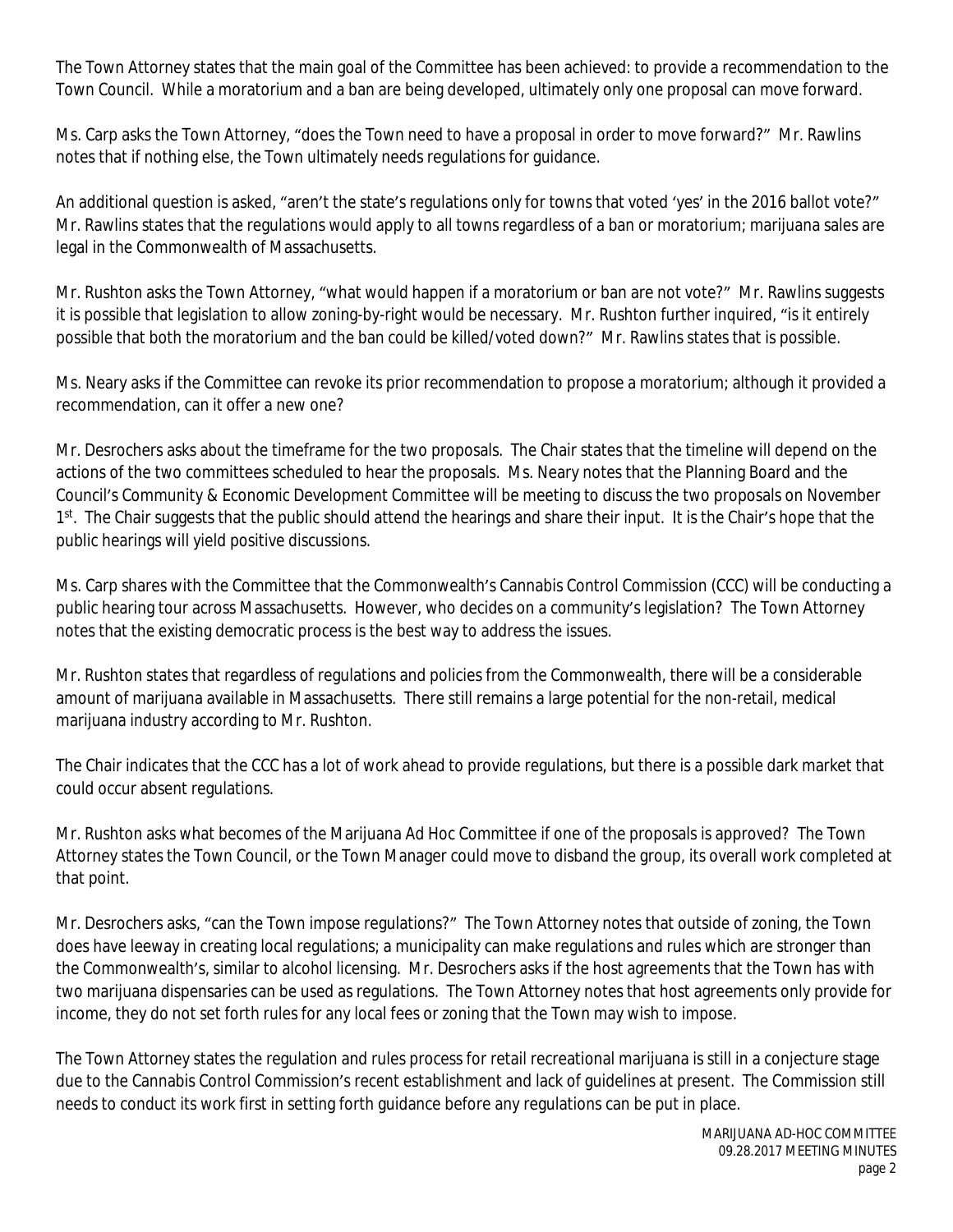The Town Attorney states that the main goal of the Committee has been achieved: to provide a recommendation to the Town Council. While a moratorium and a ban are being developed, ultimately only one proposal can move forward.

Ms. Carp asks the Town Attorney, "does the Town need to have a proposal in order to move forward?" Mr. Rawlins notes that if nothing else, the Town ultimately needs regulations for guidance.

An additional question is asked, "aren't the state's regulations only for towns that voted 'yes' in the 2016 ballot vote?" Mr. Rawlins states that the regulations would apply to all towns regardless of a ban or moratorium; marijuana sales are legal in the Commonwealth of Massachusetts.

Mr. Rushton asks the Town Attorney, "what would happen if a moratorium or ban are not vote?" Mr. Rawlins suggests it is possible that legislation to allow zoning-by-right would be necessary. Mr. Rushton further inquired, "is it entirely possible that both the moratorium and the ban could be killed/voted down?" Mr. Rawlins states that is possible.

Ms. Neary asks if the Committee can revoke its prior recommendation to propose a moratorium; although it provided a recommendation, can it offer a new one?

Mr. Desrochers asks about the timeframe for the two proposals. The Chair states that the timeline will depend on the actions of the two committees scheduled to hear the proposals. Ms. Neary notes that the Planning Board and the Council's Community & Economic Development Committee will be meeting to discuss the two proposals on November 1<sup>st</sup>. The Chair suggests that the public should attend the hearings and share their input. It is the Chair's hope that the public hearings will yield positive discussions.

Ms. Carp shares with the Committee that the Commonwealth's Cannabis Control Commission (CCC) will be conducting a public hearing tour across Massachusetts. However, who decides on a community's legislation? The Town Attorney notes that the existing democratic process is the best way to address the issues.

Mr. Rushton states that regardless of regulations and policies from the Commonwealth, there will be a considerable amount of marijuana available in Massachusetts. There still remains a large potential for the non-retail, medical marijuana industry according to Mr. Rushton.

The Chair indicates that the CCC has a lot of work ahead to provide regulations, but there is a possible dark market that could occur absent regulations.

Mr. Rushton asks what becomes of the Marijuana Ad Hoc Committee if one of the proposals is approved? The Town Attorney states the Town Council, or the Town Manager could move to disband the group, its overall work completed at that point.

Mr. Desrochers asks, "can the Town impose regulations?" The Town Attorney notes that outside of zoning, the Town does have leeway in creating local regulations; a municipality can make regulations and rules which are stronger than the Commonwealth's, similar to alcohol licensing. Mr. Desrochers asks if the host agreements that the Town has with two marijuana dispensaries can be used as regulations. The Town Attorney notes that host agreements only provide for income, they do not set forth rules for any local fees or zoning that the Town may wish to impose.

The Town Attorney states the regulation and rules process for retail recreational marijuana is still in a conjecture stage due to the Cannabis Control Commission's recent establishment and lack of guidelines at present. The Commission still needs to conduct its work first in setting forth guidance before any regulations can be put in place.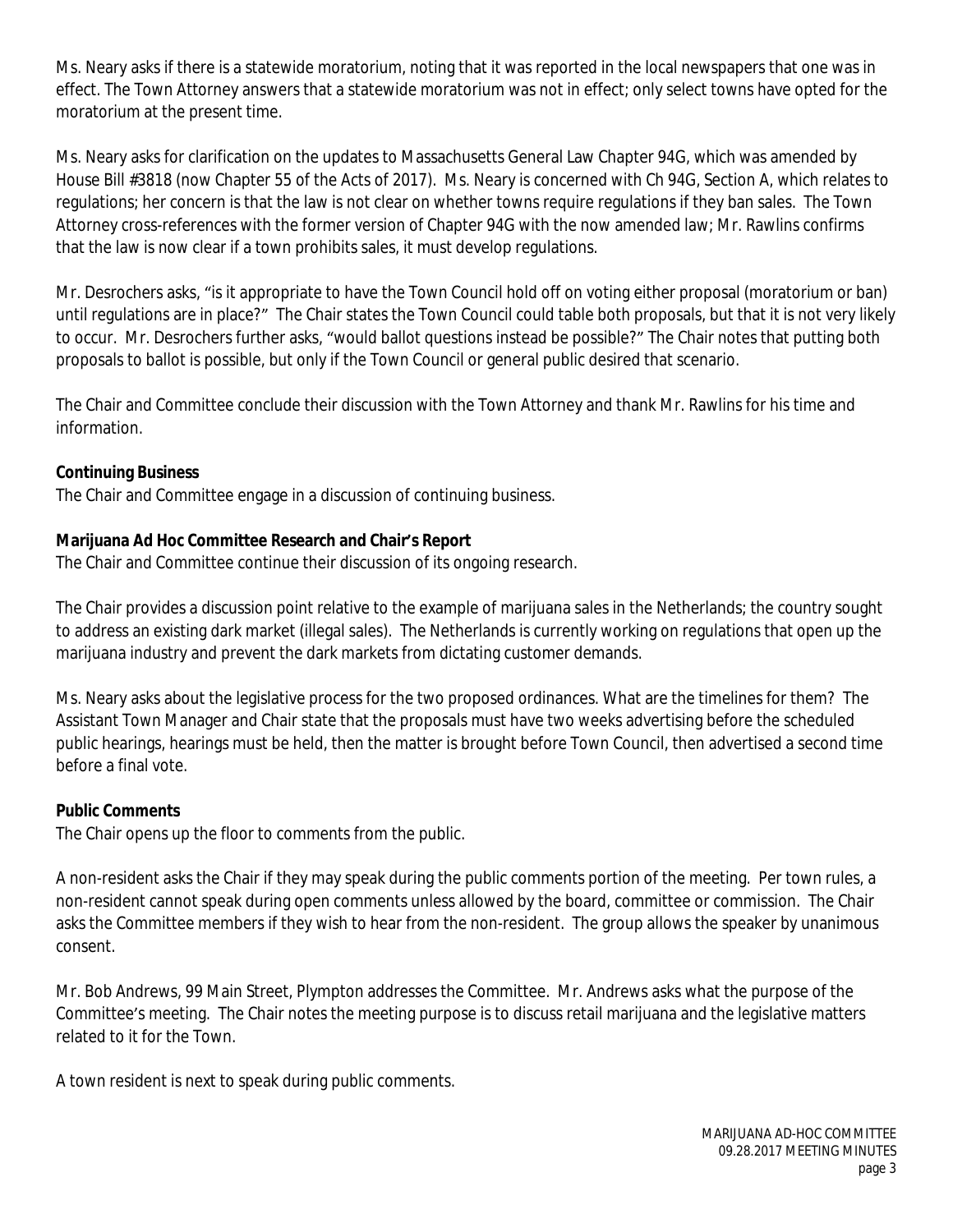Ms. Neary asks if there is a statewide moratorium, noting that it was reported in the local newspapers that one was in effect. The Town Attorney answers that a statewide moratorium was not in effect; only select towns have opted for the moratorium at the present time.

Ms. Neary asks for clarification on the updates to Massachusetts General Law Chapter 94G, which was amended by House Bill #3818 (now Chapter 55 of the Acts of 2017). Ms. Neary is concerned with Ch 94G, Section A, which relates to regulations; her concern is that the law is not clear on whether towns require regulations if they ban sales. The Town Attorney cross-references with the former version of Chapter 94G with the now amended law; Mr. Rawlins confirms that the law is now clear if a town prohibits sales, it must develop regulations.

Mr. Desrochers asks, "is it appropriate to have the Town Council hold off on voting either proposal (moratorium or ban) until regulations are in place?" The Chair states the Town Council could table both proposals, but that it is not very likely to occur. Mr. Desrochers further asks, "would ballot questions instead be possible?" The Chair notes that putting both proposals to ballot is possible, but only if the Town Council or general public desired that scenario.

The Chair and Committee conclude their discussion with the Town Attorney and thank Mr. Rawlins for his time and information.

# **Continuing Business**

The Chair and Committee engage in a discussion of continuing business.

# **Marijuana Ad Hoc Committee Research and Chair's Report**

The Chair and Committee continue their discussion of its ongoing research.

The Chair provides a discussion point relative to the example of marijuana sales in the Netherlands; the country sought to address an existing dark market (illegal sales). The Netherlands is currently working on regulations that open up the marijuana industry and prevent the dark markets from dictating customer demands.

Ms. Neary asks about the legislative process for the two proposed ordinances. What are the timelines for them? The Assistant Town Manager and Chair state that the proposals must have two weeks advertising before the scheduled public hearings, hearings must be held, then the matter is brought before Town Council, then advertised a second time before a final vote.

### **Public Comments**

The Chair opens up the floor to comments from the public.

A non-resident asks the Chair if they may speak during the public comments portion of the meeting. Per town rules, a non-resident cannot speak during open comments unless allowed by the board, committee or commission. The Chair asks the Committee members if they wish to hear from the non-resident. The group allows the speaker by unanimous consent.

Mr. Bob Andrews, 99 Main Street, Plympton addresses the Committee. Mr. Andrews asks what the purpose of the Committee's meeting. The Chair notes the meeting purpose is to discuss retail marijuana and the legislative matters related to it for the Town.

A town resident is next to speak during public comments.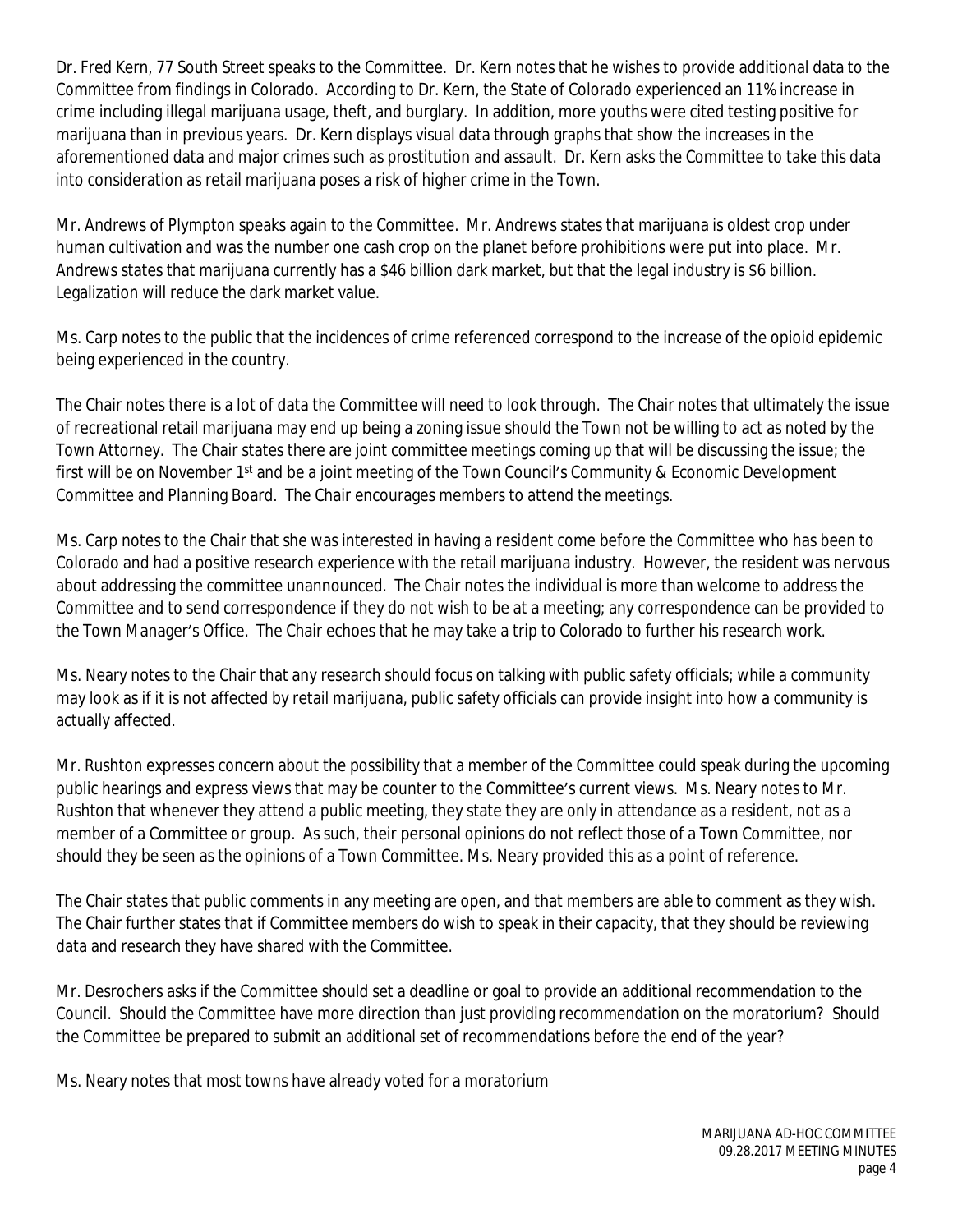Dr. Fred Kern, 77 South Street speaks to the Committee. Dr. Kern notes that he wishes to provide additional data to the Committee from findings in Colorado. According to Dr. Kern, the State of Colorado experienced an 11% increase in crime including illegal marijuana usage, theft, and burglary. In addition, more youths were cited testing positive for marijuana than in previous years. Dr. Kern displays visual data through graphs that show the increases in the aforementioned data and major crimes such as prostitution and assault. Dr. Kern asks the Committee to take this data into consideration as retail marijuana poses a risk of higher crime in the Town.

Mr. Andrews of Plympton speaks again to the Committee. Mr. Andrews states that marijuana is oldest crop under human cultivation and was the number one cash crop on the planet before prohibitions were put into place. Mr. Andrews states that marijuana currently has a \$46 billion dark market, but that the legal industry is \$6 billion. Legalization will reduce the dark market value.

Ms. Carp notes to the public that the incidences of crime referenced correspond to the increase of the opioid epidemic being experienced in the country.

The Chair notes there is a lot of data the Committee will need to look through. The Chair notes that ultimately the issue of recreational retail marijuana may end up being a zoning issue should the Town not be willing to act as noted by the Town Attorney. The Chair states there are joint committee meetings coming up that will be discussing the issue; the first will be on November 1<sup>st</sup> and be a joint meeting of the Town Council's Community & Economic Development Committee and Planning Board. The Chair encourages members to attend the meetings.

Ms. Carp notes to the Chair that she was interested in having a resident come before the Committee who has been to Colorado and had a positive research experience with the retail marijuana industry. However, the resident was nervous about addressing the committee unannounced. The Chair notes the individual is more than welcome to address the Committee and to send correspondence if they do not wish to be at a meeting; any correspondence can be provided to the Town Manager's Office. The Chair echoes that he may take a trip to Colorado to further his research work.

Ms. Neary notes to the Chair that any research should focus on talking with public safety officials; while a community may look as if it is not affected by retail marijuana, public safety officials can provide insight into how a community is actually affected.

Mr. Rushton expresses concern about the possibility that a member of the Committee could speak during the upcoming public hearings and express views that may be counter to the Committee's current views. Ms. Neary notes to Mr. Rushton that whenever they attend a public meeting, they state they are only in attendance as a resident, not as a member of a Committee or group. As such, their personal opinions do not reflect those of a Town Committee, nor should they be seen as the opinions of a Town Committee. Ms. Neary provided this as a point of reference.

The Chair states that public comments in any meeting are open, and that members are able to comment as they wish. The Chair further states that if Committee members do wish to speak in their capacity, that they should be reviewing data and research they have shared with the Committee.

Mr. Desrochers asks if the Committee should set a deadline or goal to provide an additional recommendation to the Council. Should the Committee have more direction than just providing recommendation on the moratorium? Should the Committee be prepared to submit an additional set of recommendations before the end of the year?

Ms. Neary notes that most towns have already voted for a moratorium